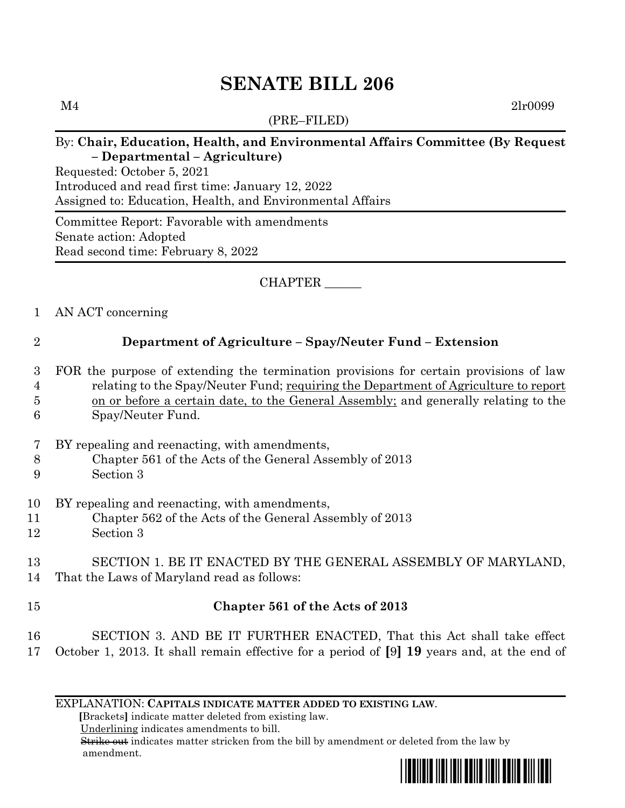# **SENATE BILL 206**

(PRE–FILED)

 $M4$  2lr0099

#### By: **Chair, Education, Health, and Environmental Affairs Committee (By Request – Departmental – Agriculture)**

Requested: October 5, 2021 Introduced and read first time: January 12, 2022 Assigned to: Education, Health, and Environmental Affairs

Committee Report: Favorable with amendments Senate action: Adopted Read second time: February 8, 2022

### CHAPTER \_\_\_\_\_\_

#### 1 AN ACT concerning

## 2 **Department of Agriculture – Spay/Neuter Fund – Extension**

- 3 FOR the purpose of extending the termination provisions for certain provisions of law 4 relating to the Spay/Neuter Fund; requiring the Department of Agriculture to report 5 on or before a certain date, to the General Assembly; and generally relating to the
- 6 Spay/Neuter Fund.
- 7 BY repealing and reenacting, with amendments,
- 8 Chapter 561 of the Acts of the General Assembly of 2013
- 9 Section 3
- 10 BY repealing and reenacting, with amendments,
- 11 Chapter 562 of the Acts of the General Assembly of 2013
- 12 Section 3

### 13 SECTION 1. BE IT ENACTED BY THE GENERAL ASSEMBLY OF MARYLAND, 14 That the Laws of Maryland read as follows:

# 15 **Chapter 561 of the Acts of 2013**

#### 16 SECTION 3. AND BE IT FURTHER ENACTED, That this Act shall take effect 17 October 1, 2013. It shall remain effective for a period of **[**9**] 19** years and, at the end of

#### EXPLANATION: **CAPITALS INDICATE MATTER ADDED TO EXISTING LAW**.

 **[**Brackets**]** indicate matter deleted from existing law.

Underlining indicates amendments to bill.

 Strike out indicates matter stricken from the bill by amendment or deleted from the law by amendment.